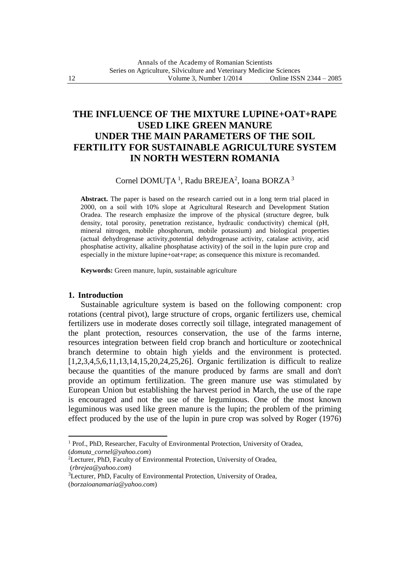# **THE INFLUENCE OF THE MIXTURE LUPINE+OAT+RAPE USED LIKE GREEN MANURE UNDER THE MAIN PARAMETERS OF THE SOIL FERTILITY FOR SUSTAINABLE AGRICULTURE SYSTEM IN NORTH WESTERN ROMANIA**

# Cornel DOMUȚA<sup>1</sup>, Radu BREJEA<sup>2</sup>, Ioana BORZA<sup>3</sup>

**Abstract.** The paper is based on the research carried out in a long term trial placed in 2000, on a soil with 10% slope at Agricultural Research and Development Station Oradea. The research emphasize the improve of the physical (structure degree, bulk density, total porosity, penetration rezistance, hydraulic conductivity) chemical (pH, mineral nitrogen, mobile phosphorum, mobile potassium) and biological properties (actual dehydrogenase activity,potential dehydrogenase activity, catalase activity, acid phosphatise activity, alkaline phosphatase activity) of the soil in the lupin pure crop and especially in the mixture lupine+oat+rape; as consequence this mixture is recomanded.

**Keywords:** Green manure, lupin, sustainable agriculture

### **1. Introduction**

 $\ddot{\phantom{a}}$ 

Sustainable agriculture system is based on the following component: crop rotations (central pivot), large structure of crops, organic fertilizers use, chemical fertilizers use in moderate doses correctly soil tillage, integrated management of the plant protection, resources conservation, the use of the farms interne, resources integration between field crop branch and horticulture or zootechnical branch determine to obtain high yields and the environment is protected. [1,2,3,4,5,6,11,13,14,15,20,24,25,26]. Organic fertilization is difficult to realize because the quantities of the manure produced by farms are small and don't provide an optimum fertilization. The green manure use was stimulated by European Union but establishing the harvest period in March, the use of the rape is encouraged and not the use of the leguminous. One of the most known leguminous was used like green manure is the lupin; the problem of the priming effect produced by the use of the lupin in pure crop was solved by Roger (1976)

<sup>&</sup>lt;sup>1</sup> Prof., PhD, Researcher, Faculty of Environmental Protection, University of Oradea, (*domuta\_cornel@yahoo.com*)

<sup>2</sup>Lecturer, PhD, Faculty of Environmental Protection, University of Oradea, (*rbrejea@yahoo.com*)

<sup>&</sup>lt;sup>3</sup>Lecturer, PhD, Faculty of Environmental Protection, University of Oradea, (*borzaioanamaria@yahoo.com*)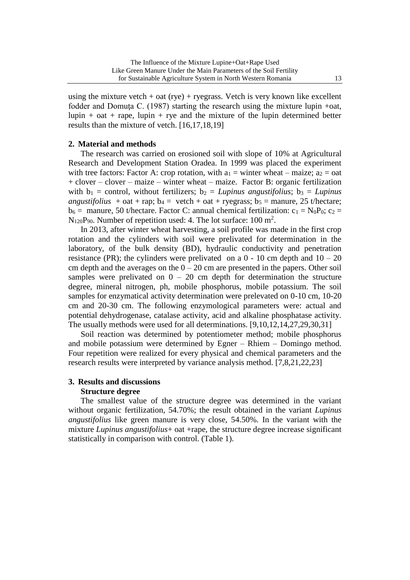using the mixture vetch  $+$  oat (rye)  $+$  ryegrass. Vetch is very known like excellent fodder and Domuța C. (1987) starting the research using the mixture lupin +oat, lupin  $+$  oat  $+$  rape, lupin  $+$  rye and the mixture of the lupin determined better results than the mixture of vetch. [16,17,18,19]

# **2. Material and methods**

The research was carried on erosioned soil with slope of 10% at Agricultural Research and Development Station Oradea. In 1999 was placed the experiment with tree factors: Factor A: crop rotation, with  $a_1$  = winter wheat – maize;  $a_2$  = oat + clover – clover – maize – winter wheat – maize. Factor B: organic fertilization with  $b_1$  = control, without fertilizers;  $b_2$  = *Lupinus angustifolius*;  $b_3$  = *Lupinus angustifolius* + oat + rap;  $b_4$  = vetch + oat + ryegrass;  $b_5$  = manure, 25 t/hectare;  $b_6$  = manure, 50 t/hectare. Factor C: annual chemical fertilization:  $c_1 = N_0P_0$ ;  $c_2$  =  $N_{120}P_{90}$ . Number of repetition used: 4. The lot surface: 100 m<sup>2</sup>.

In 2013, after winter wheat harvesting, a soil profile was made in the first crop rotation and the cylinders with soil were prelivated for determination in the laboratory, of the bulk density (BD), hydraulic conductivity and penetration resistance (PR); the cylinders were prelivated on a  $0 - 10$  cm depth and  $10 - 20$ cm depth and the averages on the  $0 - 20$  cm are presented in the papers. Other soil samples were prelivated on  $0 - 20$  cm depth for determination the structure degree, mineral nitrogen, ph, mobile phosphorus, mobile potassium. The soil samples for enzymatical activity determination were prelevated on 0-10 cm, 10-20 cm and 20-30 cm. The following enzymological parameters were: actual and potential dehydrogenase, catalase activity, acid and alkaline phosphatase activity. The usually methods were used for all determinations. [9,10,12,14,27,29,30,31]

Soil reaction was determined by potentiometer method; mobile phosphorus and mobile potassium were determined by Egner – Rhiem – Domingo method. Four repetition were realized for every physical and chemical parameters and the research results were interpreted by variance analysis method. [7,8,21,22,23]

# **3. Results and discussions Structure degree**

The smallest value of the structure degree was determined in the variant without organic fertilization, 54.70%; the result obtained in the variant *Lupinus angustifolius* like green manure is very close, 54.50%. In the variant with the mixture *Lupinus angustifolius*+ oat +rape, the structure degree increase significant statistically in comparison with control. (Table 1).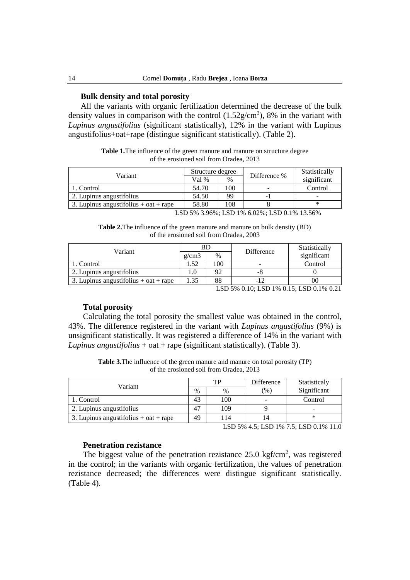### **Bulk density and total porosity**

All the variants with organic fertilization determined the decrease of the bulk density values in comparison with the control  $(1.52g/cm<sup>3</sup>)$ , 8% in the variant with *Lupinus angustifolius* (significant statistically), 12% in the variant with Lupinus angustifolius+oat+rape (distingue significant statistically). (Table 2).

**Table 1.**The influence of the green manure and manure on structure degree of the erosioned soil from Oradea, 2013

|       |      |                  | Statistically |
|-------|------|------------------|---------------|
| Val % | $\%$ |                  | significant   |
| 54.70 | 100  |                  | Control       |
| 54.50 | 99   | -                |               |
| 58.80 | 108  |                  | ∗             |
|       |      | Structure degree | Difference %  |

LSD 5% 3.96%; LSD 1% 6.02%; LSD 0.1% 13.56%

**Table 2.**The influence of the green manure and manure on bulk density (BD) of the erosioned soil from Oradea, 2003

| Variant                               |       |      | Difference                                    | Statistically |
|---------------------------------------|-------|------|-----------------------------------------------|---------------|
|                                       | g/cm3 | $\%$ |                                               | significant   |
| 1. Control                            | 1.52  | 100  | ۰                                             | Control       |
| 2. Lupinus angustifolius              | 1.0   | 92   | -0                                            |               |
| 3. Lupinus angustifolius + oat + rape | 1.35  | 88   | -12                                           |               |
|                                       |       |      | I CD 504 0 10. I CD 104 0 15. I CD 0 104 0 21 |               |

LSD 5% 0.10; LSD 1% 0.15; LSD 0.1% 0.21

### **Total porosity**

Calculating the total porosity the smallest value was obtained in the control, 43%. The difference registered in the variant with *Lupinus angustifolius* (9%) is unsignificant statistically. It was registered a difference of 14% in the variant with *Lupinus angustifolius* + oat + rape (significant statistically). (Table 3).

**Table 3.**The influence of the green manure and manure on total porosity (TP) of the erosioned soil from Oradea, 2013

| Variant                                 |    | TP   | Difference | Statisticaly |
|-----------------------------------------|----|------|------------|--------------|
|                                         |    | $\%$ | (%)        | Significant  |
| 1. Control                              | 43 | 100  |            | Control      |
| 2. Lupinus angustifolius                | 47 | 109  |            |              |
| 3. Lupinus angustifolius + $oat + rape$ | 49 | 114  | 14         |              |

LSD 5% 4.5; LSD 1% 7.5; LSD 0.1% 11.0

# **Penetration rezistance**

The biggest value of the penetration rezistance  $25.0 \text{ kgf/cm}^2$ , was registered in the control; in the variants with organic fertilization, the values of penetration rezistance decreased; the differences were distingue significant statistically. (Table 4).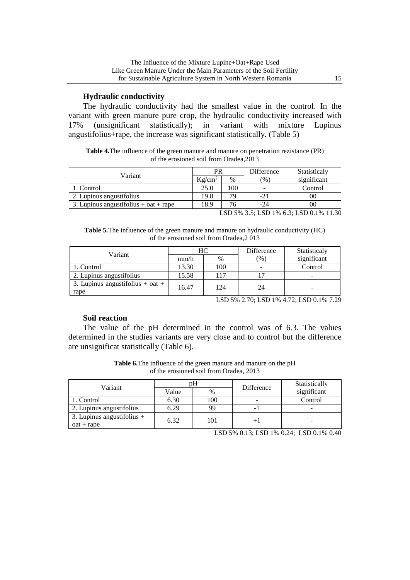# **Hydraulic conductivity**

The hydraulic conductivity had the smallest value in the control. In the variant with green manure pure crop, the hydraulic conductivity increased with 17% (unsignificant statistically); in variant with mixture Lupinus 17% (unsignificant statistically); in variant with mixture Lupinus angustifolius+rape, the increase was significant statistically. (Table 5)

**Table 4.**The influence of the green manure and manure on penetration rezistance (PR) of the erosioned soil from Oradea,2013

| PR        |      | Difference | Statisticaly                                     |
|-----------|------|------------|--------------------------------------------------|
| $Kg/cm^2$ | $\%$ | (%)        | significant                                      |
| 25.0      | 100  | -          | Control                                          |
| 19.8      | 70   | -21        | 00                                               |
| 18.9      |      | -24        | 00                                               |
|           |      |            | <b>X OD FOL OF X OD 101 2 O X OD 0.101 11 00</b> |

LSD 5% 3.5; LSD 1% 6.3; LSD 0.1% 11.30

**Table 5.**The influence of the green manure and manure on hydraulic conductivity (HC) of the erosioned soil from Oradea,2 013

| Variant                                  |       | HС   | Difference    | Statisticaly |
|------------------------------------------|-------|------|---------------|--------------|
|                                          | mm/h  | $\%$ | $\frac{9}{6}$ | significant  |
| 1. Control                               | 13.30 | 100  |               | Control      |
| 2. Lupinus angustifolius                 | 15.58 | 117  |               | -            |
| 3. Lupinus angustifolius + oat +<br>rape | 16.47 | 124  | 24            | -            |

LSD 5% 2.70; LSD 1% 4.72; LSD 0.1% 7.29

# **Soil reaction**

The value of the pH determined in the control was of 6.3. The values determined in the studies variants are very close and to control but the difference are unsignificat statistically (Table 6).

**Table 6.**The influence of the green manure and manure on the pH of the erosioned soil from Oradea, 2013

| Variant                      |       | рH   | Difference | Statistically |  |
|------------------------------|-------|------|------------|---------------|--|
|                              | Value | $\%$ |            | significant   |  |
| 1. Control                   | 6.30  | 100  | -          | Control       |  |
| 2. Lupinus angustifolius     | 6.29  | 99   |            |               |  |
| 3. Lupinus angustifolius $+$ | 6.32  | 101  |            |               |  |
| $oat + rape$                 |       |      |            |               |  |

LSD 5% 0.13; LSD 1% 0.24; LSD 0.1% 0.40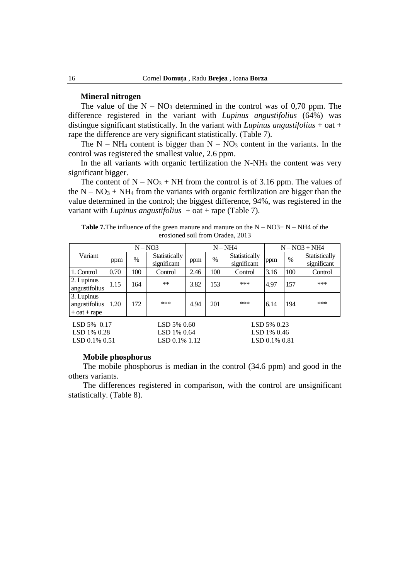#### **Mineral nitrogen**

The value of the  $N - NO_3$  determined in the control was of 0,70 ppm. The difference registered in the variant with *Lupinus angustifolius* (64%) was distingue significant statistically. In the variant with *Lupinus angustifolius* + oat + rape the difference are very significant statistically. (Table 7).

The  $N - NH_4$  content is bigger than  $N - NO_3$  content in the variants. In the control was registered the smallest value, 2.6 ppm.

In the all variants with organic fertilization the  $N-NH_3$  the content was very significant bigger.

The content of  $N - NO_3 + NH$  from the control is of 3.16 ppm. The values of the  $N - NO<sub>3</sub> + NH<sub>4</sub>$  from the variants with organic fertilization are bigger than the value determined in the control; the biggest difference, 94%, was registered in the variant with *Lupinus angustifolius*  $+$  oat  $+$  rape (Table 7).

**Table 7.**The influence of the green manure and manure on the  $N - NO3 + N - NH4$  of the erosioned soil from Oradea, 2013

|                                                 |      |      | $N - NO3$                    |      | $N - NH4$ |                              |      | $N - NO3 + NH4$ |                              |  |
|-------------------------------------------------|------|------|------------------------------|------|-----------|------------------------------|------|-----------------|------------------------------|--|
| Variant                                         | ppm  | $\%$ | Statistically<br>significant | ppm  | $\%$      | Statistically<br>significant | ppm  | $\%$            | Statistically<br>significant |  |
| 1. Control                                      | 0.70 | 100  | Control                      | 2.46 | 100       | Control                      | 3.16 | 100             | Control                      |  |
| 2. Lupinus<br>angustifolius                     | 1.15 | 164  | $***$                        | 3.82 | 153       | ***                          | 4.97 | 157             | ***                          |  |
| 3. Lupinus<br>angustifolius<br>$+$ oat $+$ rape | 1.20 | 172  | ***                          | 4.94 | 201       | ***                          | 6.14 | 194             | ***                          |  |
| $LSD 5\% 0.17$<br>LSD 5% 0.60                   |      |      |                              |      |           | LSD 5% 0.23                  |      |                 |                              |  |

LSD 1% 0.28 LSD 1% 0.64 LSD 1% 0.46 LSD 0.1% 0.51 LSD 0.1% 1.12 LSD 0.1% 0.81

#### **Mobile phosphorus**

The mobile phosphorus is median in the control (34.6 ppm) and good in the others variants.

The differences registered in comparison, with the control are unsignificant statistically. (Table 8).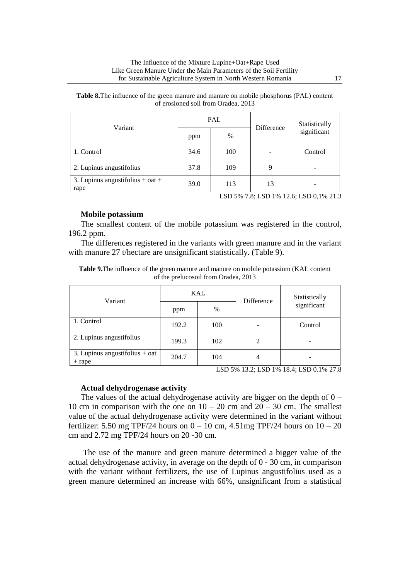| Variant                                  |      | PAL  | Difference | Statistically<br>significant        |  |
|------------------------------------------|------|------|------------|-------------------------------------|--|
|                                          | ppm  | $\%$ |            |                                     |  |
| 1. Control                               | 34.6 | 100  |            | Control                             |  |
| 2. Lupinus angustifolius                 | 37.8 | 109  |            |                                     |  |
| 3. Lupinus angustifolius + oat +<br>rape | 39.0 | 113  | 13         | TCD EV TQ TCD 10/12.5 TCD Q 10/21.7 |  |

**Table 8.**The influence of the green manure and manure on mobile phosphorus (PAL) content of erosioned soil from Oradea, 2013

LSD 5% 7.8; LSD 1% 12.6; LSD 0,1% 21.3

### **Mobile potassium**

The smallest content of the mobile potassium was registered in the control, 196.2 ppm.

The differences registered in the variants with green manure and in the variant with manure 27 t/hectare are unsignificant statistically. (Table 9).

| Variant                                      |       | KAL  | Difference     | Statistically<br>significant |  |  |  |
|----------------------------------------------|-------|------|----------------|------------------------------|--|--|--|
|                                              | ppm   | $\%$ |                |                              |  |  |  |
| 1. Control                                   | 192.2 | 100  |                | Control                      |  |  |  |
| 2. Lupinus angustifolius                     | 199.3 | 102  | 2              |                              |  |  |  |
| 3. Lupinus angustifolius $+$ oat<br>$+$ rape | 204.7 | 104  | $\overline{4}$ |                              |  |  |  |

**Table 9.**The influence of the green manure and manure on mobile potassium (KAL content of the prelucosoil from Oradea, 2013

LSD 5% 13.2; LSD 1% 18.4; LSD 0.1% 27.8

#### **Actual dehydrogenase activity**

The values of the actual dehydrogenase activity are bigger on the depth of  $0 -$ 10 cm in comparison with the one on  $10 - 20$  cm and  $20 - 30$  cm. The smallest value of the actual dehydrogenase activity were determined in the variant without fertilizer: 5.50 mg TPF/24 hours on  $0 - 10$  cm, 4.51mg TPF/24 hours on  $10 - 20$ cm and 2.72 mg TPF/24 hours on 20 -30 cm.

The use of the manure and green manure determined a bigger value of the actual dehydrogenase activity, in average on the depth of 0 - 30 cm, in comparison with the variant without fertilizers, the use of Lupinus angustifolius used as a green manure determined an increase with 66%, unsignificant from a statistical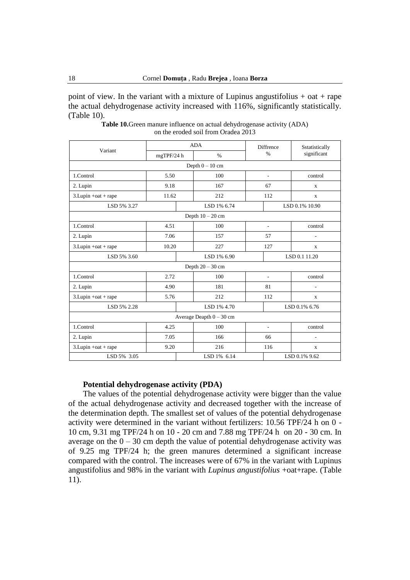point of view. In the variant with a mixture of Lupinus angustifolius  $+$  oat  $+$  rape the actual dehydrogenase activity increased with 116%, significantly statistically. (Table 10).

|                        |            | <b>ADA</b>                 | <b>Diffrence</b>         | Sstatistically<br>significant |  |
|------------------------|------------|----------------------------|--------------------------|-------------------------------|--|
| Variant                | mgTPF/24 h | $\%$                       | $\frac{0}{0}$            |                               |  |
|                        |            | Depth $0 - 10$ cm          |                          |                               |  |
| 1.Control              | 5.50       | 100                        | $\overline{\phantom{a}}$ | control                       |  |
| 2. Lupin               | 9.18       | 167                        | 67                       | X                             |  |
| $3.Lupin + cat + rape$ | 11.62      | 212                        | 112                      | X                             |  |
| LSD 5% 3.27            |            | LSD 1% 6.74                |                          | LSD 0.1% 10.90                |  |
|                        |            | Depth $10 - 20$ cm         |                          |                               |  |
| 1.Control              | 4.51       | 100                        | $\overline{a}$           | control                       |  |
| 2. Lupin               | 7.06       | 157                        | 57                       |                               |  |
| $3.Lupin + oat + rape$ | 10.20      | 227                        | 127                      | X                             |  |
| LSD 5% 3.60            |            | LSD 1% 6.90                | LSD 0.1 11.20            |                               |  |
|                        |            | Depth $20 - 30$ cm         |                          |                               |  |
| 1.Control              | 2.72       | 100                        | $\overline{\phantom{a}}$ | control                       |  |
| 2. Lupin               | 4.90       | 181                        | 81                       |                               |  |
| $3.Lupin + cat + rape$ | 5.76       | 212                        | 112                      | X                             |  |
| LSD 5% 2.28            |            | LSD 1% 4.70                | LSD 0.1% 6.76            |                               |  |
|                        |            | Average Deapth $0 - 30$ cm |                          |                               |  |
| 1.Control              | 4.25       | 100                        | $\overline{a}$           | control                       |  |
| 2. Lupin               | 7.05       | 166                        | 66                       | ٠                             |  |
| $3.Lupin + oat + rape$ | 9.20       | 216                        | 116                      | X                             |  |
| LSD 5% 3.05            |            | LSD 1% 6.14                | LSD 0.1% 9.62            |                               |  |

**Table 10.**Green manure influence on actual dehydrogenase activity (ADA) on the eroded soil from Oradea 2013

### **Potential dehydrogenase activity (PDA)**

The values of the potential dehydrogenase activity were bigger than the value of the actual dehydrogenase activity and decreased together with the increase of the determination depth. The smallest set of values of the potential dehydrogenase activity were determined in the variant without fertilizers: 10.56 TPF/24 h on 0 - 10 cm, 9.31 mg TPF/24 h on 10 - 20 cm and 7.88 mg TPF/24 h on 20 - 30 cm. In average on the  $0 - 30$  cm depth the value of potential dehydrogenase activity was of 9.25 mg TPF/24 h; the green manures determined a significant increase compared with the control. The increases were of 67% in the variant with Lupinus angustifolius and 98% in the variant with *Lupinus angustifolius* +oat+rape. (Table 11).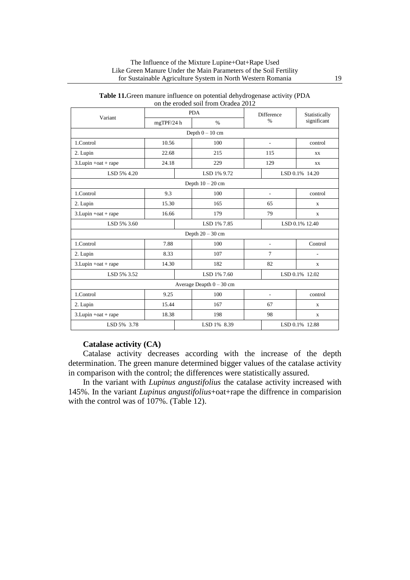|                        |            |  | 011 the croucu son from Orauca 2012 |                          |                |  |
|------------------------|------------|--|-------------------------------------|--------------------------|----------------|--|
| Variant                |            |  | <b>PDA</b>                          | Difference               | Statistically  |  |
|                        | mgTPF/24 h |  | $\%$                                | $\%$                     | significant    |  |
|                        |            |  | Depth $0 - 10$ cm                   |                          |                |  |
| 1.Control              | 10.56      |  | 100                                 | $\overline{a}$           | control        |  |
| 2. Lupin               | 22.68      |  | 215                                 | 115                      | XX             |  |
| $3.Lupin + oat + rape$ | 24.18      |  | 229                                 | 129                      | XX             |  |
| LSD 5% 4.20            |            |  | LSD 1% 9.72                         |                          | LSD 0.1% 14.20 |  |
|                        |            |  | Depth $10 - 20$ cm                  |                          |                |  |
| 1.Control              | 9.3        |  | 100                                 | $\overline{a}$           | control        |  |
| 2. Lupin               | 15.30      |  | 165                                 | 65                       | X              |  |
| $3.Lupin + cat + rape$ | 16.66      |  | 179                                 | 79                       | X              |  |
| LSD 5% 3.60            |            |  | LSD 1% 7.85                         | LSD 0.1% 12.40           |                |  |
|                        |            |  | Depth $20 - 30$ cm                  |                          |                |  |
| 1.Control              | 7.88       |  | 100                                 | $\overline{a}$           | Control        |  |
| 2. Lupin               | 8.33       |  | 107                                 | $\tau$                   | ÷,             |  |
| $3.Lupin + cat + rape$ | 14.30      |  | 182                                 | 82                       | X              |  |
| LSD 5% 3.52            |            |  | LSD 1% 7.60<br>LSD 0.1% 12.02       |                          |                |  |
|                        |            |  | Average Deapth $0 - 30$ cm          |                          |                |  |
| 1.Control              | 9.25       |  | 100                                 | $\overline{\phantom{a}}$ | control        |  |
| 2. Lupin               | 15.44      |  | 167                                 | 67                       | X              |  |
| 3. Lupin +oat + rape   | 18.38      |  | 198                                 | 98                       | X              |  |
| LSD 5% 3.78            |            |  | LSD 0.1% 12.88<br>LSD 1% 8.39       |                          |                |  |

| Table 11. Green manure influence on potential dehydrogenase activity (PDA |  |
|---------------------------------------------------------------------------|--|
| on the eroded soil from Oradea 2012                                       |  |

# **Catalase activity (CA)**

Catalase activity decreases according with the increase of the depth determination. The green manure determined bigger values of the catalase activity in comparison with the control; the differences were statistically assured.

In the variant with *Lupinus angustifolius* the catalase activity increased with 145%. In the variant *Lupinus angustifolius*+oat+rape the diffrence in comparision with the control was of 107%. (Table 12).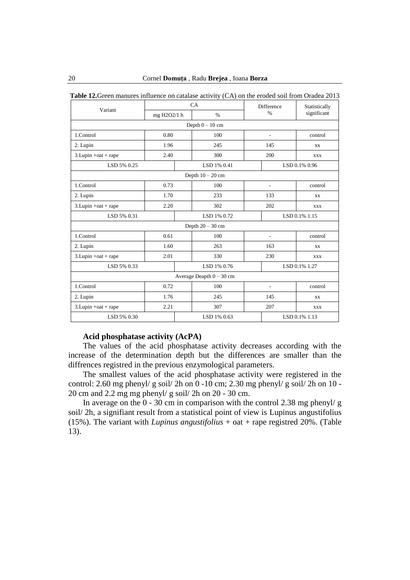| Variant                    | $\sim$ -<br>CA |  |             | Difference               |                          | Statistically |  |  |
|----------------------------|----------------|--|-------------|--------------------------|--------------------------|---------------|--|--|
|                            | mg H2O2/1 h    |  | $\%$        |                          | $\frac{0}{0}$            | significant   |  |  |
| Depth $0 - 10$ cm          |                |  |             |                          |                          |               |  |  |
| 1.Control                  | 0.80           |  | 100         | $\overline{\phantom{a}}$ |                          | control       |  |  |
| 2. Lupin                   | 1.96           |  | 245         | 145                      |                          | XX            |  |  |
| $3.Lupin + cat + rape$     | 2.40           |  | 300         | 200                      |                          | <b>XXX</b>    |  |  |
| LSD 5% 0.25                |                |  | LSD 1% 0.41 |                          |                          | LSD 0.1% 0.96 |  |  |
| Depth $10 - 20$ cm         |                |  |             |                          |                          |               |  |  |
| 1.Control                  | 0.73           |  | 100         |                          | ٠                        | control       |  |  |
| 2. Lupin                   | 1.70           |  | 233         | 133                      |                          | XX            |  |  |
| $3.Lupin + cat + rape$     | 2.20           |  | 302         | 202                      |                          | <b>XXX</b>    |  |  |
| LSD 5% 0.31                |                |  | LSD 1% 0.72 |                          | LSD 0.1% 1.15            |               |  |  |
| Depth $20 - 30$ cm         |                |  |             |                          |                          |               |  |  |
| 1.Control                  | 0.61           |  | 100         |                          | $\overline{\phantom{a}}$ | control       |  |  |
| 2. Lupin                   | 1.60           |  | 263         |                          | 163                      | XX            |  |  |
| $3.Lupin + cat + rape$     | 2.01           |  | 330         |                          | 230                      | <b>XXX</b>    |  |  |
| LSD 5% 0.33                |                |  | LSD 1% 0.76 |                          | LSD 0.1% 1.27            |               |  |  |
| Average Deapth $0 - 30$ cm |                |  |             |                          |                          |               |  |  |
| 1.Control                  | 0.72           |  | 100         |                          | ٠                        | control       |  |  |
| 2. Lupin                   | 1.76           |  | 245         | 145                      |                          | <b>XX</b>     |  |  |
| $3.Lupin + oat + rape$     | 2.21           |  | 307         | 207                      |                          | <b>XXX</b>    |  |  |
| LSD 5% 0.30                |                |  | LSD 1% 0.63 |                          | LSD 0.1% 1.13            |               |  |  |

**Table 12.**Green manures influence on catalase activity (CA) on the eroded soil from Oradea 2013

### **Acid phosphatase activity (AcPA)**

The values of the acid phosphatase activity decreases according with the increase of the determination depth but the differences are smaller than the diffrences registred in the previous enzymological parameters.

The smallest values of the acid phosphatase activity were registered in the control: 2.60 mg phenyl/ g soil/ 2h on 0 -10 cm; 2.30 mg phenyl/ g soil/ 2h on 10 - 20 cm and 2.2 mg mg phenyl/ g soil/ 2h on 20 - 30 cm.

In average on the 0 - 30 cm in comparison with the control 2.38 mg phenyl/ g soil/ 2h, a signifiant result from a statistical point of view is Lupinus angustifolius (15%). The variant with *Lupinus angustifolius* + oat + rape registred 20%. (Table 13).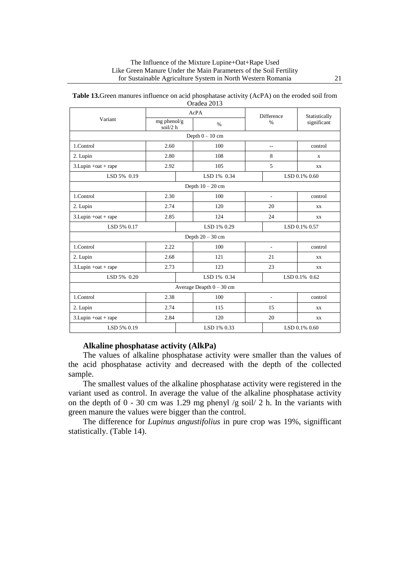|                            |                           |  | Orauca 2019        |                |                |               |  |  |
|----------------------------|---------------------------|--|--------------------|----------------|----------------|---------------|--|--|
| Variant                    | AcPA                      |  |                    | Difference     |                | Statistically |  |  |
|                            | $mg$ phenol/g<br>soil/2 h |  | $\%$               |                | $\frac{0}{0}$  | significant   |  |  |
| Depth $0 - 10$ cm          |                           |  |                    |                |                |               |  |  |
| 1.Control                  | 2.60                      |  | 100                | $\overline{a}$ |                | control       |  |  |
| 2. Lupin                   | 2.80                      |  | 108                | 8              |                | X             |  |  |
| $3.Lupin + cat + rape$     | 2.92                      |  | 105                | 5              |                | XX            |  |  |
| LSD 5% 0.19                |                           |  | LSD 1% 0.34        |                |                | LSD 0.1% 0.60 |  |  |
| Depth $10 - 20$ cm         |                           |  |                    |                |                |               |  |  |
| 1.Control                  | 2.30                      |  | 100                | L,             |                | control       |  |  |
| 2. Lupin                   | 2.74                      |  | 120                | 20             |                | XX            |  |  |
| 3. Lupin +oat + rape       | 2.85                      |  | 124                | 24             |                | <b>XX</b>     |  |  |
| LSD 5% 0.17                |                           |  | LSD 1% 0.29        |                | LSD 0.1% 0.57  |               |  |  |
|                            |                           |  | Depth $20 - 30$ cm |                |                |               |  |  |
| 1.Control                  | 2.22                      |  | 100                |                | $\overline{a}$ | control       |  |  |
| 2. Lupin                   | 2.68                      |  | 121                |                | 21             | <b>XX</b>     |  |  |
| $3.Lupin + cat + rape$     | 2.73                      |  | 123                | 23             |                | XX            |  |  |
| LSD 5% 0.20                |                           |  | LSD 1% 0.34        |                | LSD 0.1% 0.62  |               |  |  |
| Average Deapth $0 - 30$ cm |                           |  |                    |                |                |               |  |  |
| 1.Control                  | 2.38                      |  | 100                | L,             |                | control       |  |  |
| 2. Lupin                   | 2.74                      |  | 115                | 15             |                | XX            |  |  |
| $3.Lupin + oat + rape$     | 2.84                      |  | 120                | 20             |                | XX            |  |  |
| LSD 5% 0.19                |                           |  | LSD 1% 0.33        | LSD 0.1% 0.60  |                |               |  |  |

| <b>Table 13.</b> Green manures influence on acid phosphatase activity (AcPA) on the eroded soil from |
|------------------------------------------------------------------------------------------------------|
| Oradea 2013                                                                                          |

# **Alkaline phosphatase activity (AlkPa)**

The values of alkaline phosphatase activity were smaller than the values of the acid phosphatase activity and decreased with the depth of the collected sample.

The smallest values of the alkaline phosphatase activity were registered in the variant used as control. In average the value of the alkaline phosphatase activity on the depth of  $0 - 30$  cm was 1.29 mg phenyl /g soil/ 2 h. In the variants with green manure the values were bigger than the control.

The difference for *Lupinus angustifolius* in pure crop was 19%, signifficant statistically. (Table 14).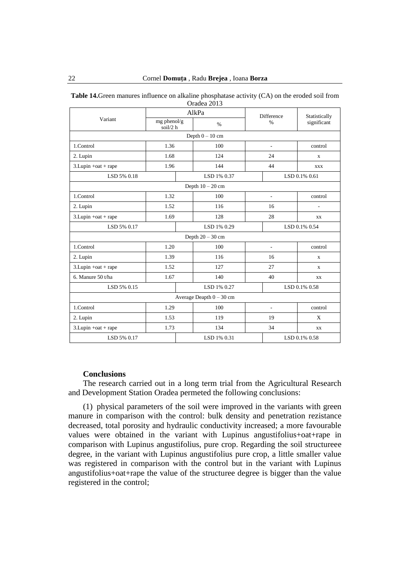|                        |                           |             | Oragea 2015                |                          |               |               |  |
|------------------------|---------------------------|-------------|----------------------------|--------------------------|---------------|---------------|--|
| Variant                | AlkPa                     |             |                            | Difference               |               | Statistically |  |
|                        | $mg$ phenol/g<br>soil/2 h |             | $\%$                       |                          | $\%$          | significant   |  |
|                        |                           |             | Depth $0 - 10$ cm          |                          |               |               |  |
| 1.Control              | 1.36                      |             | 100                        | $\overline{\phantom{a}}$ |               | control       |  |
| 2. Lupin               | 1.68                      |             | 124                        | 24                       |               | $\mathbf x$   |  |
| $3.Lupin + cat + rape$ | 1.96                      |             | 144                        | 44                       |               | <b>XXX</b>    |  |
| LSD 5% 0.18            |                           |             | LSD 1% 0.37                |                          |               | LSD 0.1% 0.61 |  |
|                        |                           |             | Depth $10 - 20$ cm         |                          |               |               |  |
| 1.Control              | 1.32                      |             | 100                        | $\overline{a}$           |               | control       |  |
| 2. Lupin               | 1.52                      |             | 116                        | 16                       |               | ÷,            |  |
| $3.Lupin + oat + rape$ | 1.69                      |             | 128                        | 28                       |               | XX            |  |
| LSD 5% 0.17            |                           |             | LSD 1% 0.29                | LSD 0.1% 0.54            |               |               |  |
|                        |                           |             | Depth $20 - 30$ cm         |                          |               |               |  |
| 1.Control              | 1.20                      |             | 100                        | $\overline{\phantom{a}}$ |               | control       |  |
| 2. Lupin               | 1.39                      |             | 116                        | 16                       |               | X             |  |
| $3.Lupin + cat + rape$ | 1.52                      |             | 127                        | 27                       |               | X             |  |
| 6. Manure 50 t/ha      | 1.67                      |             | 140                        | 40                       |               | XX            |  |
| LSD 5% 0.15            |                           |             | LSD 1% 0.27                |                          | LSD 0.1% 0.58 |               |  |
|                        |                           |             | Average Deapth $0 - 30$ cm |                          |               |               |  |
| 1.Control              | 1.29                      |             | 100                        |                          | L,            | control       |  |
| 2. Lupin               | 1.53                      |             | 119                        | 19                       |               | X             |  |
| $3.Lupin + cat + rape$ | 1.73                      |             | 134                        | 34                       |               | <b>XX</b>     |  |
| LSD 5% 0.17            |                           | LSD 1% 0.31 |                            |                          | LSD 0.1% 0.58 |               |  |

**Table 14.**Green manures influence on alkaline phosphatase activity (CA) on the eroded soil from Oradea 2013

# **Conclusions**

The research carried out in a long term trial from the Agricultural Research and Development Station Oradea permeted the following conclusions:

(1) physical parameters of the soil were improved in the variants with green manure in comparison with the control: bulk density and penetration rezistance decreased, total porosity and hydraulic conductivity increased; a more favourable values were obtained in the variant with Lupinus angustifolius+oat+rape in comparison with Lupinus angustifolius, pure crop. Regarding the soil structureee degree, in the variant with Lupinus angustifolius pure crop, a little smaller value was registered in comparison with the control but in the variant with Lupinus angustifolius+oat+rape the value of the structuree degree is bigger than the value registered in the control;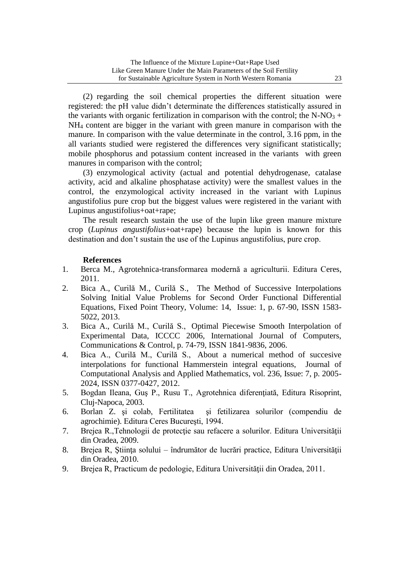(2) regarding the soil chemical properties the different situation were registered: the pH value didn't determinate the differences statistically assured in the variants with organic fertilization in comparison with the control; the N-NO<sub>3</sub> + NH<sup>4</sup> content are bigger in the variant with green manure in comparison with the manure. In comparison with the value determinate in the control, 3.16 ppm, in the all variants studied were registered the differences very significant statistically; mobile phosphorus and potassium content increased in the variants with green manures in comparison with the control;

(3) enzymological activity (actual and potential dehydrogenase, catalase activity, acid and alkaline phosphatase activity) were the smallest values in the control, the enzymological activity increased in the variant with Lupinus angustifolius pure crop but the biggest values were registered in the variant with Lupinus angustifolius+oat+rape;

The result research sustain the use of the lupin like green manure mixture crop (*Lupinus angustifolius*+oat+rape) because the lupin is known for this destination and don't sustain the use of the Lupinus angustifolius, pure crop.

# **References**

- 1. Berca M., Agrotehnica-transformarea modernă a agriculturii. Editura Ceres, 2011.
- 2. Bica A., Curilă M., Curilă S., The Method of Successive Interpolations Solving Initial Value Problems for Second Order Functional Differential Equations, Fixed Point Theory, Volume: 14, Issue: 1, p. 67-90, ISSN 1583- 5022, 2013.
- 3. Bica A., Curilă M., Curilă S., Optimal Piecewise Smooth Interpolation of Experimental Data, ICCCC 2006, International Journal of Computers, Communications & Control, p. 74-79, ISSN 1841-9836, 2006.
- 4. Bica A., Curilă M., Curilă S., About a numerical method of succesive interpolations for functional Hammerstein integral equations, Journal of Computational Analysis and Applied Mathematics, vol. 236, Issue: 7, p. 2005- 2024, ISSN 0377-0427, 2012.
- 5. Bogdan Ileana, Guş P., Rusu T., Agrotehnica diferenţiată, Editura Risoprint, Cluj-Napoca, 2003.
- 6. Borlan Z. şi colab, Fertilitatea şi fetilizarea solurilor (compendiu de agrochimie). Editura Ceres Bucureşti, 1994.
- 7. Brejea R.,Tehnologii de protecţie sau refacere a solurilor. Editura Universităţii din Oradea, 2009.
- 8. Brejea R, Ştiinţa solului îndrumător de lucrări practice, Editura Universităţii din Oradea, 2010.
- 9. Brejea R, Practicum de pedologie, Editura Universităţii din Oradea, 2011.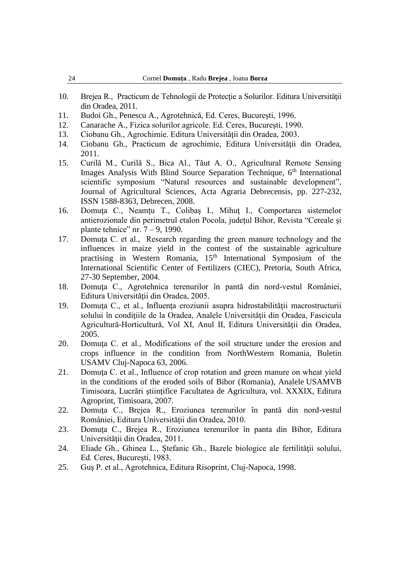- 10. Brejea R., Practicum de Tehnologii de Protecție a Solurilor. Editura Universității din Oradea, 2011.
- 11. Budoi Gh., Penescu A., Agrotehnică, Ed. Ceres, Bucureşti, 1996.
- 12. Canarache A., Fizica solurilor agricole. Ed. Ceres, Bucureşti, 1990.
- 13. Ciobanu Gh., Agrochimie. Editura Universităţii din Oradea, 2003.
- 14. Ciobanu Gh., Practicum de agrochimie, Editura Universităţii din Oradea, 2011.
- 15. Curilă M., Curilă S., Bica Al., Tăut A. O., Agricultural Remote Sensing Images Analysis With Blind Source Separation Technique, 6<sup>th</sup> International scientific symposium "Natural resources and sustainable development", Journal of Agricultural Sciences, Acta Agraria Debrecensis, pp. 227-232, ISSN 1588-8363, Debrecen, 2008.
- 16. Domuţa C., Neamţu T., Colibaş I., Mihuţ I., Comportarea sistemelor antierozionale din perimetrul etalon Pocola, judeţul Bihor, Revista "Cereale şi plante tehnice" nr.  $7 - 9$ , 1990.
- 17. Domuţa C. et al., Research regarding the green manure technology and the influences in maize yield in the contest of the sustainable agriculture practising in Western Romania, 15<sup>th</sup> International Symposium of the International Scientific Center of Fertilizers (CIEC), Pretoria, South Africa, 27-30 September, 2004.
- 18. Domuţa C., Agrotehnica terenurilor în pantă din nord-vestul României, Editura Universităţii din Oradea, 2005.
- 19. Domuţa C., et al., Influenţa eroziunii asupra hidrostabilităţii macrostructurii solului în conditiile de la Oradea, Analele Universității din Oradea, Fascicula Agricultură-Horticultură, Vol XI, Anul II, Editura Universităţii din Oradea, 2005.
- 20. Domuţa C. et al., Modifications of the soil structure under the erosion and crops influence in the condition from NorthWestern Romania, Buletin USAMV Cluj-Napoca 63, 2006.
- 21. Domuţa C. et al., Influence of crop rotation and green manure on wheat yield in the conditions of the eroded soils of Bihor (Romania), Analele USAMVB Timisoara, Lucrări ştiinţifice Facultatea de Agricultura, vol. XXXIX, Editura Agroprint, Timisoara, 2007.
- 22. Domuţa C., Brejea R., Eroziunea terenurilor în pantă din nord-vestul României, Editura Universităţii din Oradea, 2010.
- 23. Domuţa C., Brejea R., Eroziunea terenurilor în panta din Bihor, Editura Universităţii din Oradea, 2011.
- 24. Eliade Gh., Ghinea L., Ştefanic Gh., Bazele biologice ale fertilităţii solului, Ed. Ceres, Bucureşti, 1983.
- 25. Guş P. et al., Agrotehnica, Editura Risoprint, Cluj-Napoca, 1998.